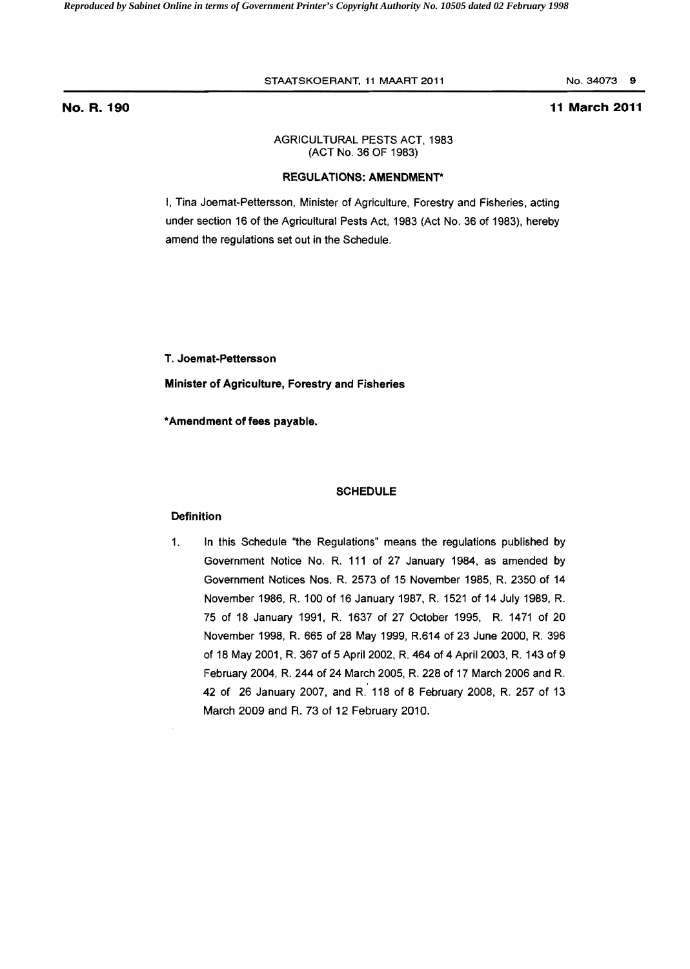### STAATSKOERANT, 11 MAART 2011 No. 34073 9

## No. R. **190 11 March 2011**

## AGRICULTURAL PESTS ACT, 1983 (ACT No. 36 OF 1983)

### REGULATIONS: AMENDMENT\*

I, Tina Joemat·Pettersson, Minister of Agriculture, Forestry and Fisheries, acting under section 16 of the Agricultura! Pests Act, 1983 (Act No. 36 of 1983). hereby amend the regulations set out in the Schedule.

T. Joemat-Pettersson

Minister of Agriculture, Forestry and Fisheries

\*Amendment of fees payable.

### **SCHEDULE**

## Definition

1. In this Schedule "the Regulations" means the regulations published by Government Notice No. R. 111 of 27 January 1984, as amended by Government Notices Nos. R. 2573 of 15 November 1985, R. 2350 of 14 November 1986, R. 100 of 16 January 1987, R. 1521 of 14 July 1989, R. 75 of 18 January 1991, R. 1637 of 27 October 1995, R. 1471 of 20 November 1998, R. 665 of 28 May 1999, R.614 of 23 June 2000, R. 396 of 18 May 2001, R. 367 of 5 April 2002, R. 464 of 4 April 2003, R. 143 of 9 February 2004, R. 244 of 24 March 2005, R. 228 of 17 March 2006 and R. 42 of 26 January 2007, and R. 118 of 8 February 2008, R. 257 of 13 March 2009 and R. 73 of 12 February 2010.